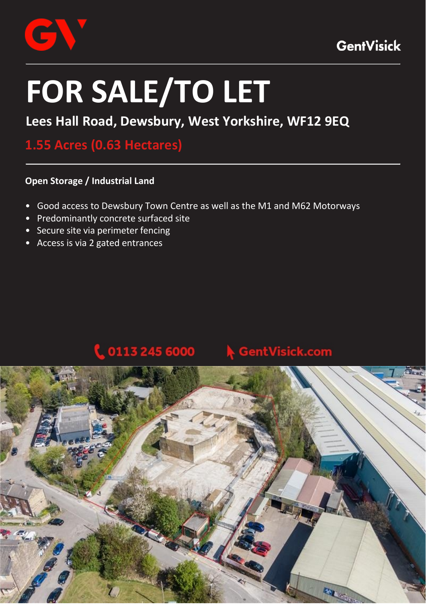

# **FOR SALE/TO LET**

# **Lees Hall Road, Dewsbury, West Yorkshire, WF12 9EQ**

# **1.55 Acres (0.63 Hectares)**

### **Open Storage / Industrial Land**

- Good access to Dewsbury Town Centre as well as the M1 and M62 Motorways
- Predominantly concrete surfaced site
- Secure site via perimeter fencing
- Access is via 2 gated entrances

# 0113 245 6000

## entVisick.com